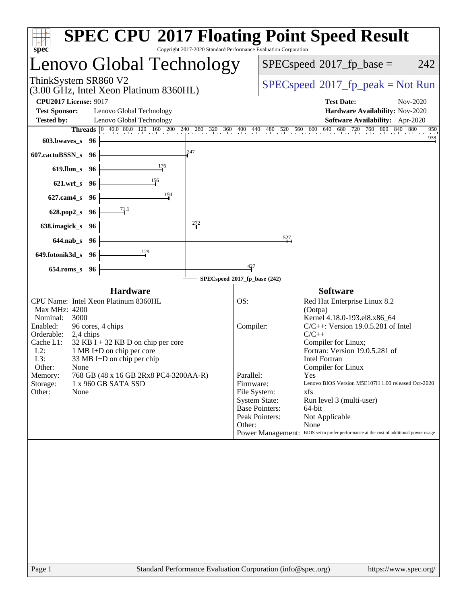| Copyright 2017-2020 Standard Performance Evaluation Corporation<br>$spec^*$                                                                                                                                                                                                                                                                                                                                          | <b>SPEC CPU®2017 Floating Point Speed Result</b>                                                                                                                                                                                                                                                                                                                                                                                                                                                                                                                                                                               |
|----------------------------------------------------------------------------------------------------------------------------------------------------------------------------------------------------------------------------------------------------------------------------------------------------------------------------------------------------------------------------------------------------------------------|--------------------------------------------------------------------------------------------------------------------------------------------------------------------------------------------------------------------------------------------------------------------------------------------------------------------------------------------------------------------------------------------------------------------------------------------------------------------------------------------------------------------------------------------------------------------------------------------------------------------------------|
| Lenovo Global Technology                                                                                                                                                                                                                                                                                                                                                                                             | $SPEC speed^{\circ}2017$ _fp_base =<br>242                                                                                                                                                                                                                                                                                                                                                                                                                                                                                                                                                                                     |
| ThinkSystem SR860 V2<br>(3.00 GHz, Intel Xeon Platinum 8360HL)                                                                                                                                                                                                                                                                                                                                                       | $SPEC speed^{\circ}2017\_fp\_peak = Not Run$                                                                                                                                                                                                                                                                                                                                                                                                                                                                                                                                                                                   |
| <b>CPU2017 License: 9017</b><br><b>Test Sponsor:</b><br>Lenovo Global Technology<br>Lenovo Global Technology<br><b>Tested by:</b>                                                                                                                                                                                                                                                                                    | <b>Test Date:</b><br>Nov-2020<br>Hardware Availability: Nov-2020<br><b>Software Availability:</b> Apr-2020                                                                                                                                                                                                                                                                                                                                                                                                                                                                                                                     |
| 603.bwaves_s 96<br>247<br>607.cactuBSSN_s 96<br>176<br>619.lbm_s 96<br>$\frac{156}{2}$<br>$621.wrf$ <sub>S</sub><br>96<br>194<br>$627$ .cam $4$ <sub>S</sub><br>96<br>$\frac{71.1}{4}$<br>$628.pop2_s$<br>- 96<br>272<br>638.imagick_s<br>- 96<br>$644$ .nab_s<br>- 96<br>129<br>649.fotonik3d_s<br>-96                                                                                                              | <b>Threads</b> $\begin{bmatrix} 0 & 40.0 & 80.0 & 120 & 160 & 200 & 240 & 280 & 320 & 360 & 400 & 440 & 480 & 520 & 560 & 600 & 640 & 680 & 720 & 760 & 800 & 840 \end{bmatrix}$<br>880<br>950<br>$\frac{938}{+}$<br>527                                                                                                                                                                                                                                                                                                                                                                                                       |
| $654$ .roms_s<br>96                                                                                                                                                                                                                                                                                                                                                                                                  | $\frac{427}{4}$<br>SPECspeed®2017_fp_base (242)                                                                                                                                                                                                                                                                                                                                                                                                                                                                                                                                                                                |
| <b>Hardware</b><br>CPU Name: Intel Xeon Platinum 8360HL<br>Max MHz: 4200<br>Nominal:<br>3000<br>Enabled:<br>96 cores, 4 chips<br>Orderable:<br>2,4 chips<br>Cache L1:<br>$32$ KB I + 32 KB D on chip per core<br>$L2$ :<br>1 MB I+D on chip per core<br>L3:<br>33 MB I+D on chip per chip<br>Other:<br>None<br>768 GB (48 x 16 GB 2Rx8 PC4-3200AA-R)<br>Memory:<br>Storage:<br>1 x 960 GB SATA SSD<br>Other:<br>None | <b>Software</b><br>OS:<br>Red Hat Enterprise Linux 8.2<br>(Ootpa)<br>Kernel 4.18.0-193.el8.x86_64<br>Compiler:<br>$C/C++$ : Version 19.0.5.281 of Intel<br>$C/C++$<br>Compiler for Linux;<br>Fortran: Version 19.0.5.281 of<br><b>Intel Fortran</b><br>Compiler for Linux<br>Parallel:<br>Yes<br>Firmware:<br>Lenovo BIOS Version M5E107H 1.00 released Oct-2020<br>File System:<br>xfs<br><b>System State:</b><br>Run level 3 (multi-user)<br><b>Base Pointers:</b><br>64-bit<br>Peak Pointers:<br>Not Applicable<br>Other:<br>None<br>Power Management: BIOS set to prefer performance at the cost of additional power usage |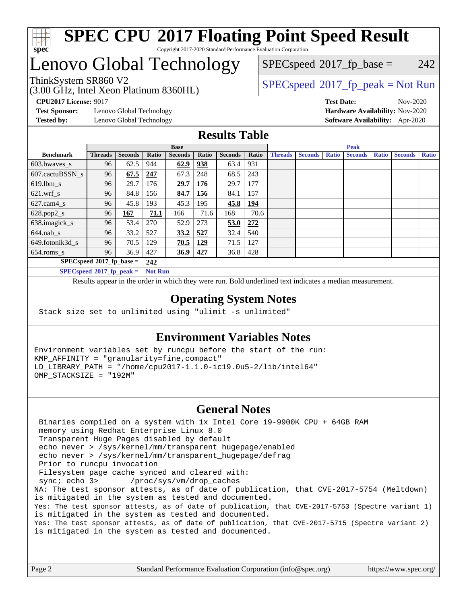

# Lenovo Global Technology

(3.00 GHz, Intel Xeon Platinum 8360HL)

 $SPECspeed^{\circledcirc}2017_fp\_base = 242$  $SPECspeed^{\circledcirc}2017_fp\_base = 242$ 

### ThinkSystem SR860 V2<br>(3.00 GHz, Intel Yogn Platinum 8360H) [SPECspeed](http://www.spec.org/auto/cpu2017/Docs/result-fields.html#SPECspeed2017fppeak)®[2017\\_fp\\_peak = N](http://www.spec.org/auto/cpu2017/Docs/result-fields.html#SPECspeed2017fppeak)ot Run

**[CPU2017 License:](http://www.spec.org/auto/cpu2017/Docs/result-fields.html#CPU2017License)** 9017 **[Test Date:](http://www.spec.org/auto/cpu2017/Docs/result-fields.html#TestDate)** Nov-2020

**[Test Sponsor:](http://www.spec.org/auto/cpu2017/Docs/result-fields.html#TestSponsor)** Lenovo Global Technology **[Hardware Availability:](http://www.spec.org/auto/cpu2017/Docs/result-fields.html#HardwareAvailability)** Nov-2020 **[Tested by:](http://www.spec.org/auto/cpu2017/Docs/result-fields.html#Testedby)** Lenovo Global Technology **[Software Availability:](http://www.spec.org/auto/cpu2017/Docs/result-fields.html#SoftwareAvailability)** Apr-2020

#### **[Results Table](http://www.spec.org/auto/cpu2017/Docs/result-fields.html#ResultsTable)**

|                             | <b>Base</b>    |                |                |                | <b>Peak</b>  |                |            |                |                |              |                |              |                |              |
|-----------------------------|----------------|----------------|----------------|----------------|--------------|----------------|------------|----------------|----------------|--------------|----------------|--------------|----------------|--------------|
| <b>Benchmark</b>            | <b>Threads</b> | <b>Seconds</b> | Ratio          | <b>Seconds</b> | <b>Ratio</b> | <b>Seconds</b> | Ratio      | <b>Threads</b> | <b>Seconds</b> | <b>Ratio</b> | <b>Seconds</b> | <b>Ratio</b> | <b>Seconds</b> | <b>Ratio</b> |
| 603.bwayes s                | 96             | 62.5           | 944            | 62.9           | 938          | 63.4           | 931        |                |                |              |                |              |                |              |
| 607.cactuBSSN s             | 96             | 67.5           | 247            | 67.3           | 248          | 68.5           | 243        |                |                |              |                |              |                |              |
| $619.$ lbm s                | 96             | 29.7           | 176            | 29.7           | 176          | 29.7           | 177        |                |                |              |                |              |                |              |
| $621.wrf$ s                 | 96             | 84.8           | 156            | 84.7           | 156          | 84.1           | 157        |                |                |              |                |              |                |              |
| $627$ .cam4 s               | 96             | 45.8           | 193            | 45.3           | 195          | 45.8           | <u>194</u> |                |                |              |                |              |                |              |
| $628.pop2_s$                | 96             | 167            | 71.1           | 166            | 71.6         | 168            | 70.6       |                |                |              |                |              |                |              |
| 638.imagick_s               | 96             | 53.4           | 270            | 52.9           | 273          | 53.0           | 272        |                |                |              |                |              |                |              |
| $644$ .nab s                | 96             | 33.2           | 527            | 33.2           | 527          | 32.4           | 540        |                |                |              |                |              |                |              |
| 649.fotonik3d s             | 96             | 70.5           | 129            | 70.5           | 129          | 71.5           | 127        |                |                |              |                |              |                |              |
| $654$ .roms s               | 96             | 36.9           | 427            | 36.9           | 427          | 36.8           | 428        |                |                |              |                |              |                |              |
| $SPECspeed*2017_fp\_base =$ |                |                | 242            |                |              |                |            |                |                |              |                |              |                |              |
| $SPECspeed*2017_fp\_peak =$ |                |                | <b>Not Run</b> |                |              |                |            |                |                |              |                |              |                |              |

Results appear in the [order in which they were run.](http://www.spec.org/auto/cpu2017/Docs/result-fields.html#RunOrder) Bold underlined text [indicates a median measurement](http://www.spec.org/auto/cpu2017/Docs/result-fields.html#Median).

#### **[Operating System Notes](http://www.spec.org/auto/cpu2017/Docs/result-fields.html#OperatingSystemNotes)**

Stack size set to unlimited using "ulimit -s unlimited"

#### **[Environment Variables Notes](http://www.spec.org/auto/cpu2017/Docs/result-fields.html#EnvironmentVariablesNotes)**

Environment variables set by runcpu before the start of the run: KMP\_AFFINITY = "granularity=fine,compact" LD\_LIBRARY\_PATH = "/home/cpu2017-1.1.0-ic19.0u5-2/lib/intel64" OMP\_STACKSIZE = "192M"

#### **[General Notes](http://www.spec.org/auto/cpu2017/Docs/result-fields.html#GeneralNotes)**

 Binaries compiled on a system with 1x Intel Core i9-9900K CPU + 64GB RAM memory using Redhat Enterprise Linux 8.0 Transparent Huge Pages disabled by default echo never > /sys/kernel/mm/transparent\_hugepage/enabled echo never > /sys/kernel/mm/transparent\_hugepage/defrag Prior to runcpu invocation Filesystem page cache synced and cleared with: sync; echo 3> /proc/sys/vm/drop\_caches NA: The test sponsor attests, as of date of publication, that CVE-2017-5754 (Meltdown) is mitigated in the system as tested and documented. Yes: The test sponsor attests, as of date of publication, that CVE-2017-5753 (Spectre variant 1) is mitigated in the system as tested and documented. Yes: The test sponsor attests, as of date of publication, that CVE-2017-5715 (Spectre variant 2) is mitigated in the system as tested and documented.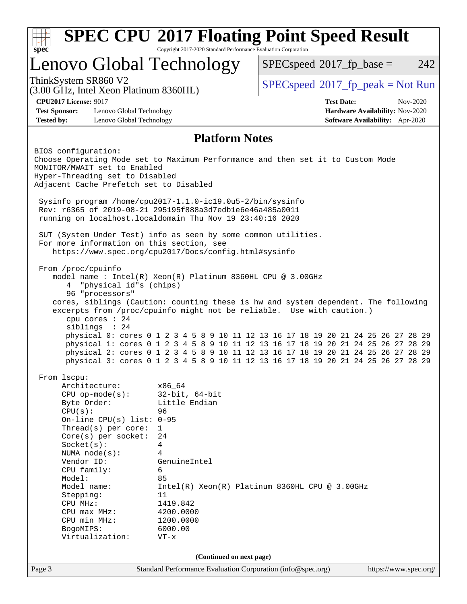|                                                                                                                                                                                                 | Lenovo Global Technology                                     | 242<br>$SPEC speed^{\circledcirc}2017$ fp base =                                                                                                                                                                                                                                                                                                                                                                                                                                                                |
|-------------------------------------------------------------------------------------------------------------------------------------------------------------------------------------------------|--------------------------------------------------------------|-----------------------------------------------------------------------------------------------------------------------------------------------------------------------------------------------------------------------------------------------------------------------------------------------------------------------------------------------------------------------------------------------------------------------------------------------------------------------------------------------------------------|
| ThinkSystem SR860 V2<br>(3.00 GHz, Intel Xeon Platinum 8360HL)                                                                                                                                  |                                                              | $SPEC speed^{\circ}2017\_fp\_peak = Not Run$                                                                                                                                                                                                                                                                                                                                                                                                                                                                    |
| <b>CPU2017 License: 9017</b><br><b>Test Sponsor:</b><br>Lenovo Global Technology<br><b>Tested by:</b><br>Lenovo Global Technology                                                               |                                                              | <b>Test Date:</b><br>Nov-2020<br>Hardware Availability: Nov-2020<br>Software Availability: Apr-2020                                                                                                                                                                                                                                                                                                                                                                                                             |
|                                                                                                                                                                                                 | <b>Platform Notes</b>                                        |                                                                                                                                                                                                                                                                                                                                                                                                                                                                                                                 |
| BIOS configuration:<br>MONITOR/MWAIT set to Enabled<br>Hyper-Threading set to Disabled<br>Adjacent Cache Prefetch set to Disabled<br>Sysinfo program /home/cpu2017-1.1.0-ic19.0u5-2/bin/sysinfo |                                                              | Choose Operating Mode set to Maximum Performance and then set it to Custom Mode                                                                                                                                                                                                                                                                                                                                                                                                                                 |
| Rev: r6365 of 2019-08-21 295195f888a3d7edble6e46a485a0011<br>running on localhost.localdomain Thu Nov 19 23:40:16 2020                                                                          |                                                              |                                                                                                                                                                                                                                                                                                                                                                                                                                                                                                                 |
| SUT (System Under Test) info as seen by some common utilities.<br>For more information on this section, see                                                                                     | https://www.spec.org/cpu2017/Docs/config.html#sysinfo        |                                                                                                                                                                                                                                                                                                                                                                                                                                                                                                                 |
| "physical id"s (chips)<br>96 "processors"<br>cpu cores : 24<br>siblings : 24                                                                                                                    | model name: $Intel(R)$ Xeon(R) Platinum 8360HL CPU @ 3.00GHz | cores, siblings (Caution: counting these is hw and system dependent. The following<br>excerpts from /proc/cpuinfo might not be reliable. Use with caution.)<br>physical 0: cores 0 1 2 3 4 5 8 9 10 11 12 13 16 17 18 19 20 21 24 25 26 27 28 29<br>physical 1: cores 0 1 2 3 4 5 8 9 10 11 12 13 16 17 18 19 20 21 24 25 26 27 28 29<br>physical 2: cores 0 1 2 3 4 5 8 9 10 11 12 13 16 17 18 19 20 21 24 25 26 27 28 29<br>physical 3: cores 0 1 2 3 4 5 8 9 10 11 12 13 16 17 18 19 20 21 24 25 26 27 28 29 |
| From 1scpu:<br>Architecture:<br>$CPU$ op-mode( $s$ ):<br>Byte Order:                                                                                                                            | x86_64<br>$32$ -bit, $64$ -bit<br>Little Endian              |                                                                                                                                                                                                                                                                                                                                                                                                                                                                                                                 |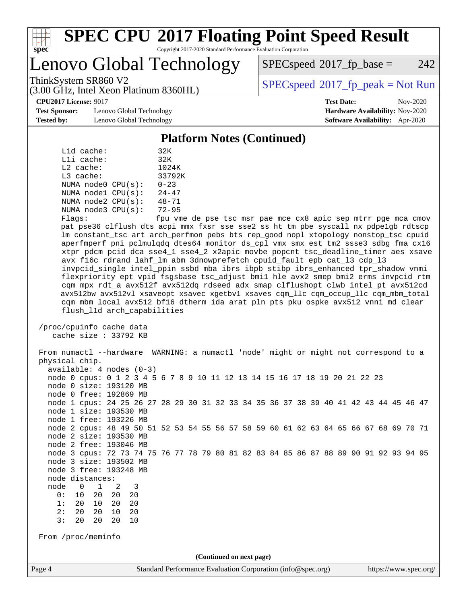

## Lenovo Global Technology

 $SPEC speed^{\circ}2017\_fp\_base = 242$ 

(3.00 GHz, Intel Xeon Platinum 8360HL)

ThinkSystem SR860 V2<br>  $\begin{array}{c} \text{SPEC speed} \textdegree 2017\_fp\_peak = Not Run \end{array}$ 

**[Test Sponsor:](http://www.spec.org/auto/cpu2017/Docs/result-fields.html#TestSponsor)** Lenovo Global Technology **[Hardware Availability:](http://www.spec.org/auto/cpu2017/Docs/result-fields.html#HardwareAvailability)** Nov-2020 **[Tested by:](http://www.spec.org/auto/cpu2017/Docs/result-fields.html#Testedby)** Lenovo Global Technology **[Software Availability:](http://www.spec.org/auto/cpu2017/Docs/result-fields.html#SoftwareAvailability)** Apr-2020

**[CPU2017 License:](http://www.spec.org/auto/cpu2017/Docs/result-fields.html#CPU2017License)** 9017 **[Test Date:](http://www.spec.org/auto/cpu2017/Docs/result-fields.html#TestDate)** Nov-2020

#### **[Platform Notes \(Continued\)](http://www.spec.org/auto/cpu2017/Docs/result-fields.html#PlatformNotes)**

| L1d cache:  |                         | 32K       |
|-------------|-------------------------|-----------|
| Lli cache:  |                         | 32K       |
| $L2$ cache: |                         | 1024K     |
| $L3$ cache: |                         | 33792K    |
|             | NUMA node0 CPU(s):      | $0 - 23$  |
|             | NUMA nodel CPU(s):      | $24 - 47$ |
|             | NUMA $node2$ $CPU(s)$ : | $48 - 71$ |
|             | NUMA $node3$ $CPU(s)$ : | $72 - 95$ |
|             |                         |           |

Flags: fpu vme de pse tsc msr pae mce cx8 apic sep mtrr pge mca cmov pat pse36 clflush dts acpi mmx fxsr sse sse2 ss ht tm pbe syscall nx pdpe1gb rdtscp lm constant\_tsc art arch\_perfmon pebs bts rep\_good nopl xtopology nonstop\_tsc cpuid aperfmperf pni pclmulqdq dtes64 monitor ds\_cpl vmx smx est tm2 ssse3 sdbg fma cx16 xtpr pdcm pcid dca sse4\_1 sse4\_2 x2apic movbe popcnt tsc\_deadline\_timer aes xsave avx f16c rdrand lahf\_lm abm 3dnowprefetch cpuid\_fault epb cat\_l3 cdp\_l3 invpcid\_single intel\_ppin ssbd mba ibrs ibpb stibp ibrs\_enhanced tpr\_shadow vnmi flexpriority ept vpid fsgsbase tsc\_adjust bmi1 hle avx2 smep bmi2 erms invpcid rtm cqm mpx rdt\_a avx512f avx512dq rdseed adx smap clflushopt clwb intel\_pt avx512cd avx512bw avx512vl xsaveopt xsavec xgetbv1 xsaves cqm\_llc cqm\_occup\_llc cqm\_mbm\_total cqm\_mbm\_local avx512\_bf16 dtherm ida arat pln pts pku ospke avx512\_vnni md\_clear flush\_l1d arch\_capabilities

 /proc/cpuinfo cache data cache size : 33792 KB

Page 4 Standard Performance Evaluation Corporation [\(info@spec.org\)](mailto:info@spec.org) <https://www.spec.org/> From numactl --hardware WARNING: a numactl 'node' might or might not correspond to a physical chip. available: 4 nodes (0-3) node 0 cpus: 0 1 2 3 4 5 6 7 8 9 10 11 12 13 14 15 16 17 18 19 20 21 22 23 node 0 size: 193120 MB node 0 free: 192869 MB node 1 cpus: 24 25 26 27 28 29 30 31 32 33 34 35 36 37 38 39 40 41 42 43 44 45 46 47 node 1 size: 193530 MB node 1 free: 193226 MB node 2 cpus: 48 49 50 51 52 53 54 55 56 57 58 59 60 61 62 63 64 65 66 67 68 69 70 71 node 2 size: 193530 MB node 2 free: 193046 MB node 3 cpus: 72 73 74 75 76 77 78 79 80 81 82 83 84 85 86 87 88 89 90 91 92 93 94 95 node 3 size: 193502 MB node 3 free: 193248 MB node distances: node 0 1 2 3 0: 10 20 20 20 1: 20 10 20 20 2: 20 20 10 20 3: 20 20 20 10 From /proc/meminfo **(Continued on next page)**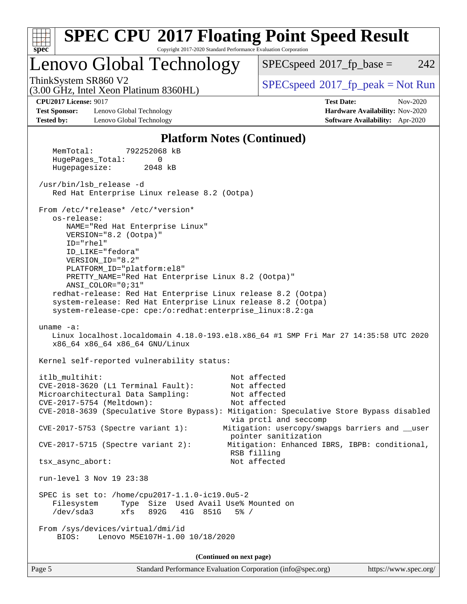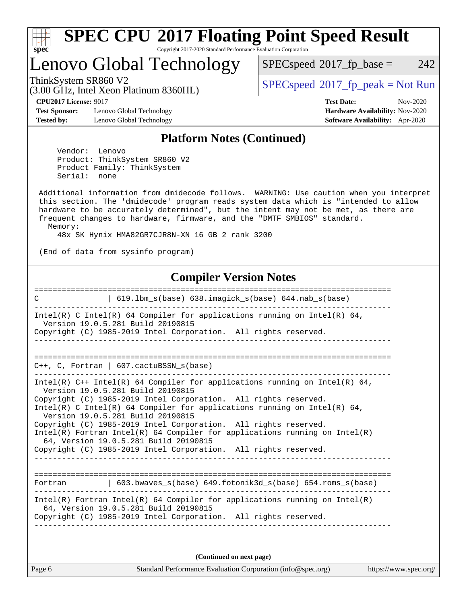

## Lenovo Global Technology

(3.00 GHz, Intel Xeon Platinum 8360HL)

 $SPECspeed^{\circledcirc}2017_fp\_base = 242$  $SPECspeed^{\circledcirc}2017_fp\_base = 242$ 

ThinkSystem SR860 V2<br>  $\begin{array}{c} \text{SPEC speed} \text{?}2017 \text{ fp\_peak} = \text{Not Run} \end{array}$ 

**[Test Sponsor:](http://www.spec.org/auto/cpu2017/Docs/result-fields.html#TestSponsor)** Lenovo Global Technology **[Hardware Availability:](http://www.spec.org/auto/cpu2017/Docs/result-fields.html#HardwareAvailability)** Nov-2020 **[Tested by:](http://www.spec.org/auto/cpu2017/Docs/result-fields.html#Testedby)** Lenovo Global Technology **[Software Availability:](http://www.spec.org/auto/cpu2017/Docs/result-fields.html#SoftwareAvailability)** Apr-2020

**[CPU2017 License:](http://www.spec.org/auto/cpu2017/Docs/result-fields.html#CPU2017License)** 9017 **[Test Date:](http://www.spec.org/auto/cpu2017/Docs/result-fields.html#TestDate)** Nov-2020

#### **[Platform Notes \(Continued\)](http://www.spec.org/auto/cpu2017/Docs/result-fields.html#PlatformNotes)**

 Vendor: Lenovo Product: ThinkSystem SR860 V2 Product Family: ThinkSystem Serial: none

 Additional information from dmidecode follows. WARNING: Use caution when you interpret this section. The 'dmidecode' program reads system data which is "intended to allow hardware to be accurately determined", but the intent may not be met, as there are frequent changes to hardware, firmware, and the "DMTF SMBIOS" standard. Memory:

48x SK Hynix HMA82GR7CJR8N-XN 16 GB 2 rank 3200

(End of data from sysinfo program)

#### **[Compiler Version Notes](http://www.spec.org/auto/cpu2017/Docs/result-fields.html#CompilerVersionNotes)**

============================================================================== C | 619.lbm\_s(base) 638.imagick\_s(base) 644.nab\_s(base) ------------------------------------------------------------------------------ Intel(R) C Intel(R) 64 Compiler for applications running on Intel(R)  $64$ , Version 19.0.5.281 Build 20190815 Copyright (C) 1985-2019 Intel Corporation. All rights reserved. ------------------------------------------------------------------------------ ============================================================================== C++, C, Fortran | 607.cactuBSSN\_s(base) ------------------------------------------------------------------------------ Intel(R)  $C++$  Intel(R) 64 Compiler for applications running on Intel(R) 64, Version 19.0.5.281 Build 20190815 Copyright (C) 1985-2019 Intel Corporation. All rights reserved. Intel(R) C Intel(R) 64 Compiler for applications running on Intel(R) 64, Version 19.0.5.281 Build 20190815 Copyright (C) 1985-2019 Intel Corporation. All rights reserved. Intel(R) Fortran Intel(R) 64 Compiler for applications running on Intel(R) 64, Version 19.0.5.281 Build 20190815 Copyright (C) 1985-2019 Intel Corporation. All rights reserved. ------------------------------------------------------------------------------ ============================================================================== Fortran | 603.bwaves\_s(base) 649.fotonik3d\_s(base) 654.roms\_s(base) ------------------------------------------------------------------------------ Intel(R) Fortran Intel(R) 64 Compiler for applications running on Intel(R) 64, Version 19.0.5.281 Build 20190815 Copyright (C) 1985-2019 Intel Corporation. All rights reserved. ------------------------------------------------------------------------------

**(Continued on next page)**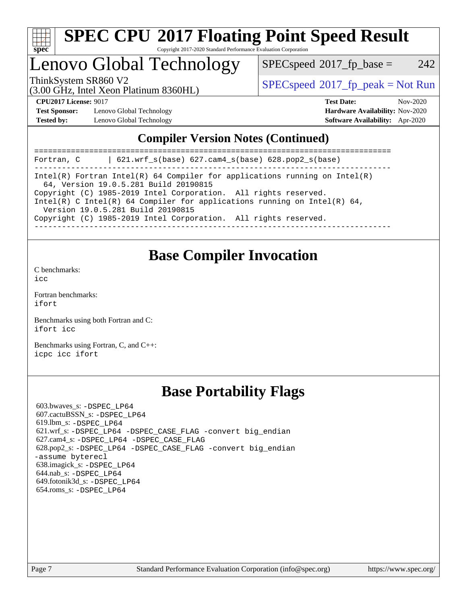

### Lenovo Global Technology

 $SPECspeed^{\circ}2017\_fp\_base = 242$  $SPECspeed^{\circ}2017\_fp\_base = 242$ 

(3.00 GHz, Intel Xeon Platinum 8360HL)

ThinkSystem SR860 V2<br>  $\begin{array}{c} \text{SPEC speed} \textdegree 2017\_fp\_peak = Not Run \end{array}$ 

**[Test Sponsor:](http://www.spec.org/auto/cpu2017/Docs/result-fields.html#TestSponsor)** Lenovo Global Technology **[Hardware Availability:](http://www.spec.org/auto/cpu2017/Docs/result-fields.html#HardwareAvailability)** Nov-2020 **[Tested by:](http://www.spec.org/auto/cpu2017/Docs/result-fields.html#Testedby)** Lenovo Global Technology **[Software Availability:](http://www.spec.org/auto/cpu2017/Docs/result-fields.html#SoftwareAvailability)** Apr-2020

**[CPU2017 License:](http://www.spec.org/auto/cpu2017/Docs/result-fields.html#CPU2017License)** 9017 **[Test Date:](http://www.spec.org/auto/cpu2017/Docs/result-fields.html#TestDate)** Nov-2020

#### **[Compiler Version Notes \(Continued\)](http://www.spec.org/auto/cpu2017/Docs/result-fields.html#CompilerVersionNotes)**

============================================================================== Fortran, C | 621.wrf\_s(base) 627.cam4\_s(base) 628.pop2\_s(base) ------------------------------------------------------------------------------ Intel(R) Fortran Intel(R) 64 Compiler for applications running on Intel(R) 64, Version 19.0.5.281 Build 20190815 Copyright (C) 1985-2019 Intel Corporation. All rights reserved. Intel(R) C Intel(R) 64 Compiler for applications running on Intel(R) 64, Version 19.0.5.281 Build 20190815 Copyright (C) 1985-2019 Intel Corporation. All rights reserved. ------------------------------------------------------------------------------

### **[Base Compiler Invocation](http://www.spec.org/auto/cpu2017/Docs/result-fields.html#BaseCompilerInvocation)**

[C benchmarks](http://www.spec.org/auto/cpu2017/Docs/result-fields.html#Cbenchmarks):

[icc](http://www.spec.org/cpu2017/results/res2020q4/cpu2017-20201123-24469.flags.html#user_CCbase_intel_icc_66fc1ee009f7361af1fbd72ca7dcefbb700085f36577c54f309893dd4ec40d12360134090235512931783d35fd58c0460139e722d5067c5574d8eaf2b3e37e92)

[Fortran benchmarks](http://www.spec.org/auto/cpu2017/Docs/result-fields.html#Fortranbenchmarks): [ifort](http://www.spec.org/cpu2017/results/res2020q4/cpu2017-20201123-24469.flags.html#user_FCbase_intel_ifort_8111460550e3ca792625aed983ce982f94888b8b503583aa7ba2b8303487b4d8a21a13e7191a45c5fd58ff318f48f9492884d4413fa793fd88dd292cad7027ca)

[Benchmarks using both Fortran and C](http://www.spec.org/auto/cpu2017/Docs/result-fields.html#BenchmarksusingbothFortranandC): [ifort](http://www.spec.org/cpu2017/results/res2020q4/cpu2017-20201123-24469.flags.html#user_CC_FCbase_intel_ifort_8111460550e3ca792625aed983ce982f94888b8b503583aa7ba2b8303487b4d8a21a13e7191a45c5fd58ff318f48f9492884d4413fa793fd88dd292cad7027ca) [icc](http://www.spec.org/cpu2017/results/res2020q4/cpu2017-20201123-24469.flags.html#user_CC_FCbase_intel_icc_66fc1ee009f7361af1fbd72ca7dcefbb700085f36577c54f309893dd4ec40d12360134090235512931783d35fd58c0460139e722d5067c5574d8eaf2b3e37e92)

[Benchmarks using Fortran, C, and C++:](http://www.spec.org/auto/cpu2017/Docs/result-fields.html#BenchmarksusingFortranCandCXX) [icpc](http://www.spec.org/cpu2017/results/res2020q4/cpu2017-20201123-24469.flags.html#user_CC_CXX_FCbase_intel_icpc_c510b6838c7f56d33e37e94d029a35b4a7bccf4766a728ee175e80a419847e808290a9b78be685c44ab727ea267ec2f070ec5dc83b407c0218cded6866a35d07) [icc](http://www.spec.org/cpu2017/results/res2020q4/cpu2017-20201123-24469.flags.html#user_CC_CXX_FCbase_intel_icc_66fc1ee009f7361af1fbd72ca7dcefbb700085f36577c54f309893dd4ec40d12360134090235512931783d35fd58c0460139e722d5067c5574d8eaf2b3e37e92) [ifort](http://www.spec.org/cpu2017/results/res2020q4/cpu2017-20201123-24469.flags.html#user_CC_CXX_FCbase_intel_ifort_8111460550e3ca792625aed983ce982f94888b8b503583aa7ba2b8303487b4d8a21a13e7191a45c5fd58ff318f48f9492884d4413fa793fd88dd292cad7027ca)

### **[Base Portability Flags](http://www.spec.org/auto/cpu2017/Docs/result-fields.html#BasePortabilityFlags)**

 603.bwaves\_s: [-DSPEC\\_LP64](http://www.spec.org/cpu2017/results/res2020q4/cpu2017-20201123-24469.flags.html#suite_basePORTABILITY603_bwaves_s_DSPEC_LP64) 607.cactuBSSN\_s: [-DSPEC\\_LP64](http://www.spec.org/cpu2017/results/res2020q4/cpu2017-20201123-24469.flags.html#suite_basePORTABILITY607_cactuBSSN_s_DSPEC_LP64) 619.lbm\_s: [-DSPEC\\_LP64](http://www.spec.org/cpu2017/results/res2020q4/cpu2017-20201123-24469.flags.html#suite_basePORTABILITY619_lbm_s_DSPEC_LP64) 621.wrf\_s: [-DSPEC\\_LP64](http://www.spec.org/cpu2017/results/res2020q4/cpu2017-20201123-24469.flags.html#suite_basePORTABILITY621_wrf_s_DSPEC_LP64) [-DSPEC\\_CASE\\_FLAG](http://www.spec.org/cpu2017/results/res2020q4/cpu2017-20201123-24469.flags.html#b621.wrf_s_baseCPORTABILITY_DSPEC_CASE_FLAG) [-convert big\\_endian](http://www.spec.org/cpu2017/results/res2020q4/cpu2017-20201123-24469.flags.html#user_baseFPORTABILITY621_wrf_s_convert_big_endian_c3194028bc08c63ac5d04de18c48ce6d347e4e562e8892b8bdbdc0214820426deb8554edfa529a3fb25a586e65a3d812c835984020483e7e73212c4d31a38223) 627.cam4\_s: [-DSPEC\\_LP64](http://www.spec.org/cpu2017/results/res2020q4/cpu2017-20201123-24469.flags.html#suite_basePORTABILITY627_cam4_s_DSPEC_LP64) [-DSPEC\\_CASE\\_FLAG](http://www.spec.org/cpu2017/results/res2020q4/cpu2017-20201123-24469.flags.html#b627.cam4_s_baseCPORTABILITY_DSPEC_CASE_FLAG) 628.pop2\_s: [-DSPEC\\_LP64](http://www.spec.org/cpu2017/results/res2020q4/cpu2017-20201123-24469.flags.html#suite_basePORTABILITY628_pop2_s_DSPEC_LP64) [-DSPEC\\_CASE\\_FLAG](http://www.spec.org/cpu2017/results/res2020q4/cpu2017-20201123-24469.flags.html#b628.pop2_s_baseCPORTABILITY_DSPEC_CASE_FLAG) [-convert big\\_endian](http://www.spec.org/cpu2017/results/res2020q4/cpu2017-20201123-24469.flags.html#user_baseFPORTABILITY628_pop2_s_convert_big_endian_c3194028bc08c63ac5d04de18c48ce6d347e4e562e8892b8bdbdc0214820426deb8554edfa529a3fb25a586e65a3d812c835984020483e7e73212c4d31a38223) [-assume byterecl](http://www.spec.org/cpu2017/results/res2020q4/cpu2017-20201123-24469.flags.html#user_baseFPORTABILITY628_pop2_s_assume_byterecl_7e47d18b9513cf18525430bbf0f2177aa9bf368bc7a059c09b2c06a34b53bd3447c950d3f8d6c70e3faf3a05c8557d66a5798b567902e8849adc142926523472) 638.imagick\_s: [-DSPEC\\_LP64](http://www.spec.org/cpu2017/results/res2020q4/cpu2017-20201123-24469.flags.html#suite_basePORTABILITY638_imagick_s_DSPEC_LP64) 644.nab\_s: [-DSPEC\\_LP64](http://www.spec.org/cpu2017/results/res2020q4/cpu2017-20201123-24469.flags.html#suite_basePORTABILITY644_nab_s_DSPEC_LP64) 649.fotonik3d\_s: [-DSPEC\\_LP64](http://www.spec.org/cpu2017/results/res2020q4/cpu2017-20201123-24469.flags.html#suite_basePORTABILITY649_fotonik3d_s_DSPEC_LP64) 654.roms\_s: [-DSPEC\\_LP64](http://www.spec.org/cpu2017/results/res2020q4/cpu2017-20201123-24469.flags.html#suite_basePORTABILITY654_roms_s_DSPEC_LP64)